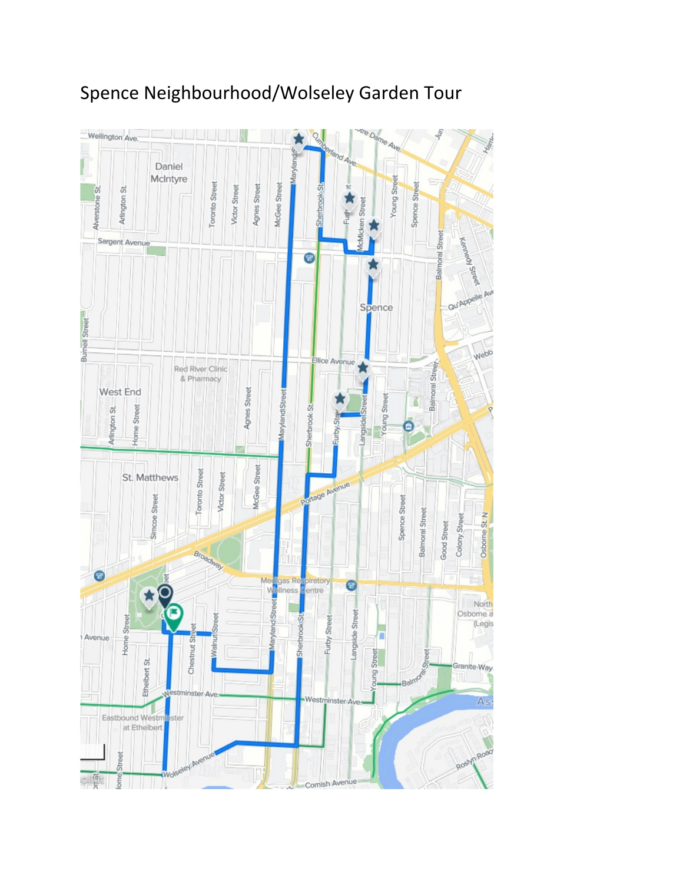## Spence Neighbourhood/Wolseley Garden Tour